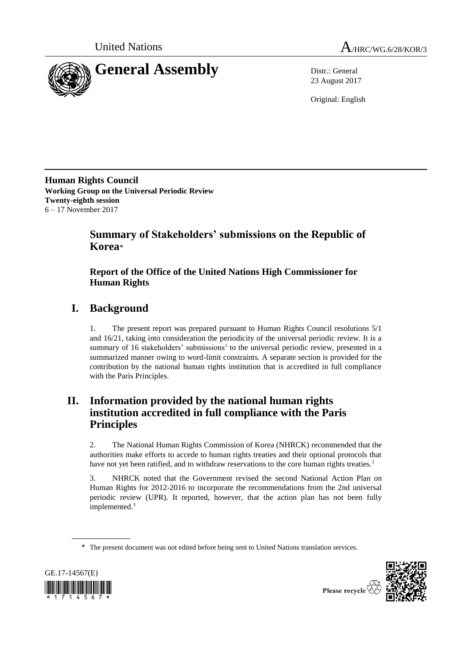



23 August 2017

Original: English

**Human Rights Council Working Group on the Universal Periodic Review Twenty-eighth session** 6 – 17 November 2017

# **Summary of Stakeholders' submissions on the Republic of Korea**\*

# **Report of the Office of the United Nations High Commissioner for Human Rights**

# **I. Background**

1. The present report was prepared pursuant to Human Rights Council resolutions 5/1 and 16/21, taking into consideration the periodicity of the universal periodic review. It is a summary of 16 stakeholders' submissions<sup>1</sup> to the universal periodic review, presented in a summarized manner owing to word-limit constraints. A separate section is provided for the contribution by the national human rights institution that is accredited in full compliance with the Paris Principles.

# **II. Information provided by the national human rights institution accredited in full compliance with the Paris Principles**

2. The National Human Rights Commission of Korea (NHRCK) recommended that the authorities make efforts to accede to human rights treaties and their optional protocols that have not yet been ratified, and to withdraw reservations to the core human rights treaties.<sup>2</sup>

3. NHRCK noted that the Government revised the second National Action Plan on Human Rights for 2012-2016 to incorporate the recommendations from the 2nd universal periodic review (UPR). It reported, however, that the action plan has not been fully implemented.<sup>3</sup>

<sup>\*</sup> The present document was not edited before being sent to United Nations translation services.



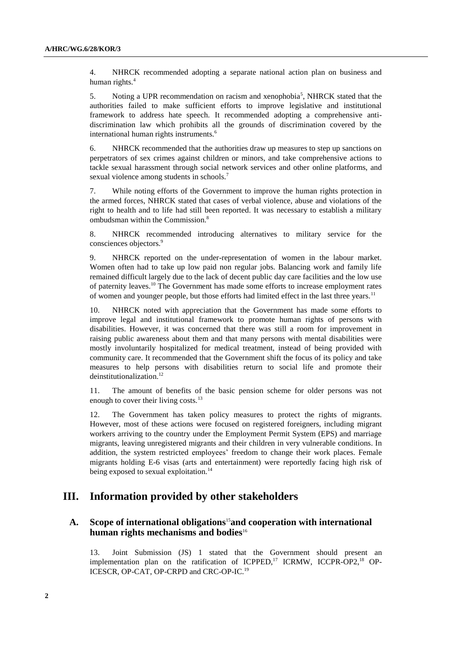4. NHRCK recommended adopting a separate national action plan on business and human rights.<sup>4</sup>

5. Noting a UPR recommendation on racism and xenophobia<sup>5</sup>, NHRCK stated that the authorities failed to make sufficient efforts to improve legislative and institutional framework to address hate speech. It recommended adopting a comprehensive antidiscrimination law which prohibits all the grounds of discrimination covered by the international human rights instruments.<sup>6</sup>

6. NHRCK recommended that the authorities draw up measures to step up sanctions on perpetrators of sex crimes against children or minors, and take comprehensive actions to tackle sexual harassment through social network services and other online platforms, and sexual violence among students in schools.<sup>7</sup>

7. While noting efforts of the Government to improve the human rights protection in the armed forces, NHRCK stated that cases of verbal violence, abuse and violations of the right to health and to life had still been reported. It was necessary to establish a military ombudsman within the Commission. 8

8. NHRCK recommended introducing alternatives to military service for the consciences objectors.<sup>9</sup>

9. NHRCK reported on the under-representation of women in the labour market. Women often had to take up low paid non regular jobs. Balancing work and family life remained difficult largely due to the lack of decent public day care facilities and the low use of paternity leaves.<sup>10</sup> The Government has made some efforts to increase employment rates of women and younger people, but those efforts had limited effect in the last three years.<sup>11</sup>

10. NHRCK noted with appreciation that the Government has made some efforts to improve legal and institutional framework to promote human rights of persons with disabilities. However, it was concerned that there was still a room for improvement in raising public awareness about them and that many persons with mental disabilities were mostly involuntarily hospitalized for medical treatment, instead of being provided with community care. It recommended that the Government shift the focus of its policy and take measures to help persons with disabilities return to social life and promote their deinstitutionalization.<sup>12</sup>

11. The amount of benefits of the basic pension scheme for older persons was not enough to cover their living costs.<sup>13</sup>

12. The Government has taken policy measures to protect the rights of migrants. However, most of these actions were focused on registered foreigners, including migrant workers arriving to the country under the Employment Permit System (EPS) and marriage migrants, leaving unregistered migrants and their children in very vulnerable conditions. In addition, the system restricted employees' freedom to change their work places. Female migrants holding E-6 visas (arts and entertainment) were reportedly facing high risk of being exposed to sexual exploitation.<sup>14</sup>

# **III. Information provided by other stakeholders**

# **A. Scope of international obligations**15**and cooperation with international human rights mechanisms and bodies**<sup>16</sup>

13. Joint Submission (JS) 1 stated that the Government should present an implementation plan on the ratification of ICPPED,<sup>17</sup> ICRMW, ICCPR-OP2,<sup>18</sup> OP-ICESCR, OP-CAT, OP-CRPD and CRC-OP-IC.<sup>19</sup>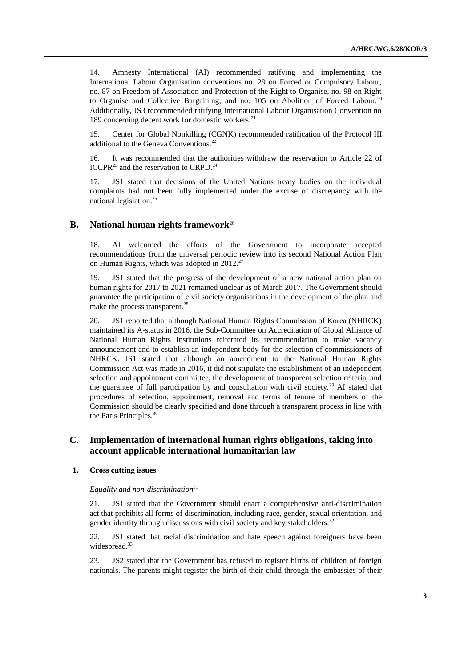14. Amnesty International (AI) recommended ratifying and implementing the International Labour Organisation conventions no. 29 on Forced or Compulsory Labour, no. 87 on Freedom of Association and Protection of the Right to Organise, no. 98 on Right to Organise and Collective Bargaining, and no. 105 on Abolition of Forced Labour.<sup>20</sup> Additionally, JS3 recommended ratifying International Labour Organisation Convention no 189 concerning decent work for domestic workers. 21

15. Center for Global Nonkilling (CGNK) recommended ratification of the Protocol III additional to the Geneva Conventions.<sup>22</sup>

16. It was recommended that the authorities withdraw the reservation to Article 22 of ICCPR<sup>23</sup> and the reservation to CRPD.<sup>24</sup>

17. JS1 stated that decisions of the United Nations treaty bodies on the individual complaints had not been fully implemented under the excuse of discrepancy with the national legislation. 25

# **B. National human rights framework**<sup>26</sup>

18. AI welcomed the efforts of the Government to incorporate accepted recommendations from the universal periodic review into its second National Action Plan on Human Rights, which was adopted in  $2012.<sup>27</sup>$ 

19. JS1 stated that the progress of the development of a new national action plan on human rights for 2017 to 2021 remained unclear as of March 2017. The Government should guarantee the participation of civil society organisations in the development of the plan and make the process transparent.<sup>28</sup>

20. JS1 reported that although National Human Rights Commission of Korea (NHRCK) maintained its A-status in 2016, the Sub-Committee on Accreditation of Global Alliance of National Human Rights Institutions reiterated its recommendation to make vacancy announcement and to establish an independent body for the selection of commissioners of NHRCK. JS1 stated that although an amendment to the National Human Rights Commission Act was made in 2016, it did not stipulate the establishment of an independent selection and appointment committee, the development of transparent selection criteria, and the guarantee of full participation by and consultation with civil society.<sup>29</sup> AI stated that procedures of selection, appointment, removal and terms of tenure of members of the Commission should be clearly specified and done through a transparent process in line with the Paris Principles.<sup>30</sup>

# **C. Implementation of international human rights obligations, taking into account applicable international humanitarian law**

#### **1. Cross cutting issues**

## *Equality and non-discrimination*<sup>31</sup>

21. JS1 stated that the Government should enact a comprehensive anti-discrimination act that prohibits all forms of discrimination, including race, gender, sexual orientation, and gender identity through discussions with civil society and key stakeholders.<sup>32</sup>

22. JS1 stated that racial discrimination and hate speech against foreigners have been widespread.<sup>33</sup>

23. JS2 stated that the Government has refused to register births of children of foreign nationals. The parents might register the birth of their child through the embassies of their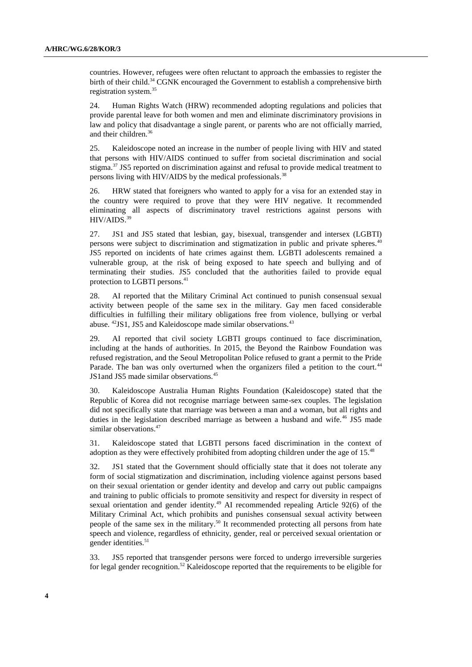countries. However, refugees were often reluctant to approach the embassies to register the birth of their child.<sup>34</sup> CGNK encouraged the Government to establish a comprehensive birth registration system.<sup>35</sup>

24. Human Rights Watch (HRW) recommended adopting regulations and policies that provide parental leave for both women and men and eliminate discriminatory provisions in law and policy that disadvantage a single parent, or parents who are not officially married, and their children.<sup>36</sup>

25. Kaleidoscope noted an increase in the number of people living with HIV and stated that persons with HIV/AIDS continued to suffer from societal discrimination and social stigma.<sup>37</sup> JS5 reported on discrimination against and refusal to provide medical treatment to persons living with HIV/AIDS by the medical professionals.<sup>38</sup>

26. HRW stated that foreigners who wanted to apply for a visa for an extended stay in the country were required to prove that they were HIV negative. It recommended eliminating all aspects of discriminatory travel restrictions against persons with HIV/AIDS.<sup>39</sup>

27. JS1 and JS5 stated that lesbian, gay, bisexual, transgender and intersex (LGBTI) persons were subject to discrimination and stigmatization in public and private spheres.<sup>40</sup> JS5 reported on incidents of hate crimes against them. LGBTI adolescents remained a vulnerable group, at the risk of being exposed to hate speech and bullying and of terminating their studies. JS5 concluded that the authorities failed to provide equal protection to LGBTI persons. 41

28. AI reported that the Military Criminal Act continued to punish consensual sexual activity between people of the same sex in the military. Gay men faced considerable difficulties in fulfilling their military obligations free from violence, bullying or verbal abuse. <sup>42</sup>JS1, JS5 and Kaleidoscope made similar observations.<sup>43</sup>

29. AI reported that civil society LGBTI groups continued to face discrimination, including at the hands of authorities. In 2015, the Beyond the Rainbow Foundation was refused registration, and the Seoul Metropolitan Police refused to grant a permit to the Pride Parade. The ban was only overturned when the organizers filed a petition to the court.<sup>44</sup> JS1and JS5 made similar observations.<sup>45</sup>

30. Kaleidoscope Australia Human Rights Foundation (Kaleidoscope) stated that the Republic of Korea did not recognise marriage between same-sex couples. The legislation did not specifically state that marriage was between a man and a woman, but all rights and duties in the legislation described marriage as between a husband and wife.<sup>46</sup> JS5 made similar observations.<sup>47</sup>

31. Kaleidoscope stated that LGBTI persons faced discrimination in the context of adoption as they were effectively prohibited from adopting children under the age of 15.<sup>48</sup>

32. JS1 stated that the Government should officially state that it does not tolerate any form of social stigmatization and discrimination, including violence against persons based on their sexual orientation or gender identity and develop and carry out public campaigns and training to public officials to promote sensitivity and respect for diversity in respect of sexual orientation and gender identity.<sup>49</sup> AI recommended repealing Article 92(6) of the Military Criminal Act, which prohibits and punishes consensual sexual activity between people of the same sex in the military.<sup>50</sup> It recommended protecting all persons from hate speech and violence, regardless of ethnicity, gender, real or perceived sexual orientation or gender identities.<sup>51</sup>

33. JS5 reported that transgender persons were forced to undergo irreversible surgeries for legal gender recognition.<sup>52</sup> Kaleidoscope reported that the requirements to be eligible for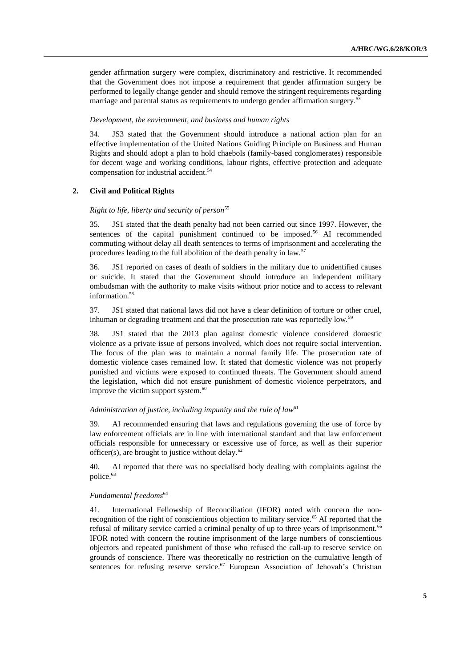gender affirmation surgery were complex, discriminatory and restrictive. It recommended that the Government does not impose a requirement that gender affirmation surgery be performed to legally change gender and should remove the stringent requirements regarding marriage and parental status as requirements to undergo gender affirmation surgery.<sup>53</sup>

#### *Development, the environment, and business and human rights*

34. JS3 stated that the Government should introduce a national action plan for an effective implementation of the United Nations Guiding Principle on Business and Human Rights and should adopt a plan to hold chaebols (family-based conglomerates) responsible for decent wage and working conditions, labour rights, effective protection and adequate compensation for industrial accident.<sup>54</sup>

#### **2. Civil and Political Rights**

#### *Right to life, liberty and security of person*<sup>55</sup>

35. JS1 stated that the death penalty had not been carried out since 1997. However, the sentences of the capital punishment continued to be imposed.<sup>56</sup> AI recommended commuting without delay all death sentences to terms of imprisonment and accelerating the procedures leading to the full abolition of the death penalty in law.<sup>57</sup>

36. JS1 reported on cases of death of soldiers in the military due to unidentified causes or suicide. It stated that the Government should introduce an independent military ombudsman with the authority to make visits without prior notice and to access to relevant information. 58

37. JS1 stated that national laws did not have a clear definition of torture or other cruel, inhuman or degrading treatment and that the prosecution rate was reportedly low.<sup>59</sup>

38. JS1 stated that the 2013 plan against domestic violence considered domestic violence as a private issue of persons involved, which does not require social intervention. The focus of the plan was to maintain a normal family life. The prosecution rate of domestic violence cases remained low. It stated that domestic violence was not properly punished and victims were exposed to continued threats. The Government should amend the legislation, which did not ensure punishment of domestic violence perpetrators, and improve the victim support system.<sup>60</sup>

### *Administration of justice, including impunity and the rule of law*<sup>61</sup>

39. AI recommended ensuring that laws and regulations governing the use of force by law enforcement officials are in line with international standard and that law enforcement officials responsible for unnecessary or excessive use of force, as well as their superior officer(s), are brought to justice without delay. $62$ 

40. AI reported that there was no specialised body dealing with complaints against the police.<sup>63</sup>

#### *Fundamental freedoms*<sup>64</sup>

41. International Fellowship of Reconciliation (IFOR) noted with concern the nonrecognition of the right of conscientious objection to military service.<sup>65</sup> AI reported that the refusal of military service carried a criminal penalty of up to three years of imprisonment.<sup>66</sup> IFOR noted with concern the routine imprisonment of the large numbers of conscientious objectors and repeated punishment of those who refused the call-up to reserve service on grounds of conscience. There was theoretically no restriction on the cumulative length of sentences for refusing reserve service.<sup>67</sup> European Association of Jehovah's Christian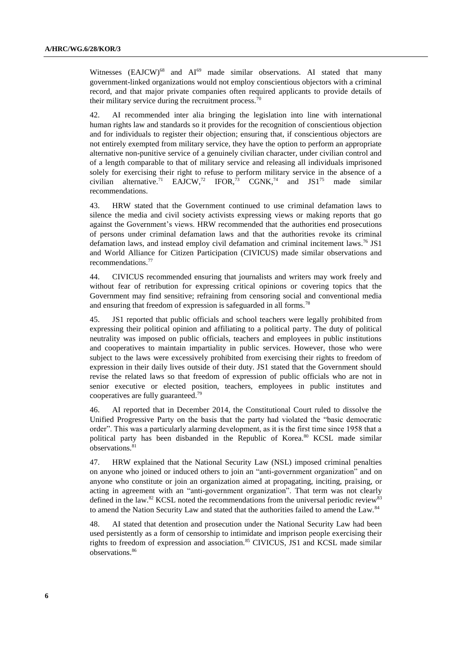Witnesses  $(EAJCW)^{68}$  and  $AI^{69}$  made similar observations. AI stated that many government-linked organizations would not employ conscientious objectors with a criminal record, and that major private companies often required applicants to provide details of their military service during the recruitment process.<sup>70</sup>

42. AI recommended inter alia bringing the legislation into line with international human rights law and standards so it provides for the recognition of conscientious objection and for individuals to register their objection; ensuring that, if conscientious objectors are not entirely exempted from military service, they have the option to perform an appropriate alternative non-punitive service of a genuinely civilian character, under civilian control and of a length comparable to that of military service and releasing all individuals imprisoned solely for exercising their right to refuse to perform military service in the absence of a civilian alternative.<sup>71</sup> EAJCW,<sup>72</sup> IFOR,<sup>73</sup> CGNK,<sup>74</sup> and JS1<sup>75</sup> made similar recommendations.

43. HRW stated that the Government continued to use criminal defamation laws to silence the media and civil society activists expressing views or making reports that go against the Government's views. HRW recommended that the authorities end prosecutions of persons under criminal defamation laws and that the authorities revoke its criminal defamation laws, and instead employ civil defamation and criminal incitement laws.<sup>76</sup> JS1 and World Alliance for Citizen Participation (CIVICUS) made similar observations and recommendations.<sup>77</sup>

44. CIVICUS recommended ensuring that journalists and writers may work freely and without fear of retribution for expressing critical opinions or covering topics that the Government may find sensitive; refraining from censoring social and conventional media and ensuring that freedom of expression is safeguarded in all forms.<sup>78</sup>

45. JS1 reported that public officials and school teachers were legally prohibited from expressing their political opinion and affiliating to a political party. The duty of political neutrality was imposed on public officials, teachers and employees in public institutions and cooperatives to maintain impartiality in public services. However, those who were subject to the laws were excessively prohibited from exercising their rights to freedom of expression in their daily lives outside of their duty. JS1 stated that the Government should revise the related laws so that freedom of expression of public officials who are not in senior executive or elected position, teachers, employees in public institutes and cooperatives are fully guaranteed.<sup>79</sup>

46. AI reported that in December 2014, the Constitutional Court ruled to dissolve the Unified Progressive Party on the basis that the party had violated the "basic democratic order". This was a particularly alarming development, as it is the first time since 1958 that a political party has been disbanded in the Republic of Korea.<sup>80</sup> KCSL made similar observations.<sup>81</sup>

47. HRW explained that the National Security Law (NSL) imposed criminal penalties on anyone who joined or induced others to join an "anti-government organization" and on anyone who constitute or join an organization aimed at propagating, inciting, praising, or acting in agreement with an "anti-government organization". That term was not clearly defined in the law.<sup>82</sup> KCSL noted the recommendations from the universal periodic review<sup>83</sup> to amend the Nation Security Law and stated that the authorities failed to amend the Law.<sup>84</sup>

48. AI stated that detention and prosecution under the National Security Law had been used persistently as a form of censorship to intimidate and imprison people exercising their rights to freedom of expression and association.<sup>85</sup> CIVICUS, JS1 and KCSL made similar observations.<sup>86</sup>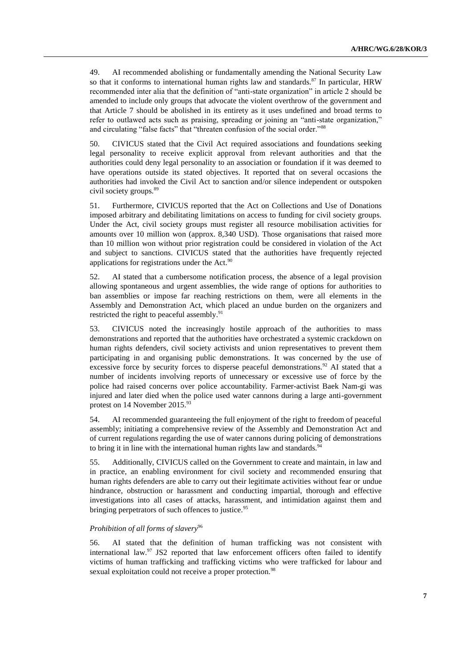49. AI recommended abolishing or fundamentally amending the National Security Law so that it conforms to international human rights law and standards.<sup>87</sup> In particular, HRW recommended inter alia that the definition of "anti-state organization" in article 2 should be amended to include only groups that advocate the violent overthrow of the government and that Article 7 should be abolished in its entirety as it uses undefined and broad terms to refer to outlawed acts such as praising, spreading or joining an "anti-state organization," and circulating "false facts" that "threaten confusion of the social order."<sup>88</sup>

50. CIVICUS stated that the Civil Act required associations and foundations seeking legal personality to receive explicit approval from relevant authorities and that the authorities could deny legal personality to an association or foundation if it was deemed to have operations outside its stated objectives. It reported that on several occasions the authorities had invoked the Civil Act to sanction and/or silence independent or outspoken civil society groups.<sup>89</sup>

51. Furthermore, CIVICUS reported that the Act on Collections and Use of Donations imposed arbitrary and debilitating limitations on access to funding for civil society groups. Under the Act, civil society groups must register all resource mobilisation activities for amounts over 10 million won (approx. 8,340 USD). Those organisations that raised more than 10 million won without prior registration could be considered in violation of the Act and subject to sanctions. CIVICUS stated that the authorities have frequently rejected applications for registrations under the Act. $90$ 

52. AI stated that a cumbersome notification process, the absence of a legal provision allowing spontaneous and urgent assemblies, the wide range of options for authorities to ban assemblies or impose far reaching restrictions on them, were all elements in the Assembly and Demonstration Act, which placed an undue burden on the organizers and restricted the right to peaceful assembly.<sup>91</sup>

53. CIVICUS noted the increasingly hostile approach of the authorities to mass demonstrations and reported that the authorities have orchestrated a systemic crackdown on human rights defenders, civil society activists and union representatives to prevent them participating in and organising public demonstrations. It was concerned by the use of excessive force by security forces to disperse peaceful demonstrations.<sup>92</sup> AI stated that a number of incidents involving reports of unnecessary or excessive use of force by the police had raised concerns over police accountability. Farmer-activist Baek Nam-gi was injured and later died when the police used water cannons during a large anti-government protest on 14 November 2015.93

54. AI recommended guaranteeing the full enjoyment of the right to freedom of peaceful assembly; initiating a comprehensive review of the Assembly and Demonstration Act and of current regulations regarding the use of water cannons during policing of demonstrations to bring it in line with the international human rights law and standards.<sup>9</sup>

55. Additionally, CIVICUS called on the Government to create and maintain, in law and in practice, an enabling environment for civil society and recommended ensuring that human rights defenders are able to carry out their legitimate activities without fear or undue hindrance, obstruction or harassment and conducting impartial, thorough and effective investigations into all cases of attacks, harassment, and intimidation against them and bringing perpetrators of such offences to justice.<sup>95</sup>

# *Prohibition of all forms of slavery*<sup>96</sup>

56. AI stated that the definition of human trafficking was not consistent with international law. $97$  JS2 reported that law enforcement officers often failed to identify victims of human trafficking and trafficking victims who were trafficked for labour and sexual exploitation could not receive a proper protection.<sup>98</sup>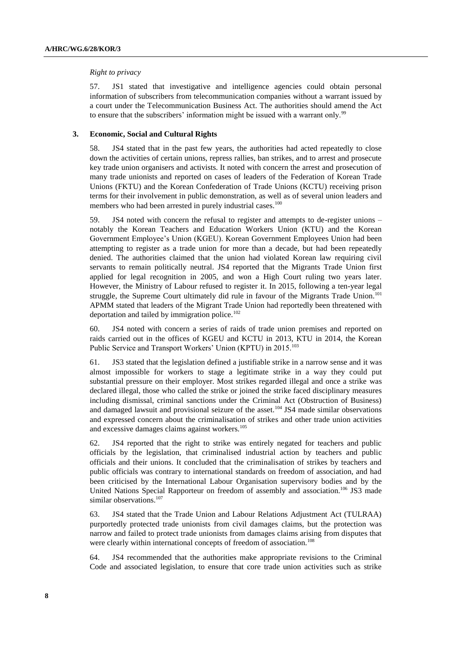#### *Right to privacy*

57. JS1 stated that investigative and intelligence agencies could obtain personal information of subscribers from telecommunication companies without a warrant issued by a court under the Telecommunication Business Act. The authorities should amend the Act to ensure that the subscribers' information might be issued with a warrant only.<sup>99</sup>

## **3. Economic, Social and Cultural Rights**

58. JS4 stated that in the past few years, the authorities had acted repeatedly to close down the activities of certain unions, repress rallies, ban strikes, and to arrest and prosecute key trade union organisers and activists. It noted with concern the arrest and prosecution of many trade unionists and reported on cases of leaders of the Federation of Korean Trade Unions (FKTU) and the Korean Confederation of Trade Unions (KCTU) receiving prison terms for their involvement in public demonstration, as well as of several union leaders and members who had been arrested in purely industrial cases.<sup>100</sup>

59. JS4 noted with concern the refusal to register and attempts to de-register unions – notably the Korean Teachers and Education Workers Union (KTU) and the Korean Government Employee's Union (KGEU). Korean Government Employees Union had been attempting to register as a trade union for more than a decade, but had been repeatedly denied. The authorities claimed that the union had violated Korean law requiring civil servants to remain politically neutral. JS4 reported that the Migrants Trade Union first applied for legal recognition in 2005, and won a High Court ruling two years later. However, the Ministry of Labour refused to register it. In 2015, following a ten-year legal struggle, the Supreme Court ultimately did rule in favour of the Migrants Trade Union.<sup>101</sup> APMM stated that leaders of the Migrant Trade Union had reportedly been threatened with deportation and tailed by immigration police.<sup>102</sup>

60. JS4 noted with concern a series of raids of trade union premises and reported on raids carried out in the offices of KGEU and KCTU in 2013, KTU in 2014, the Korean Public Service and Transport Workers' Union (KPTU) in 2015.<sup>103</sup>

61. JS3 stated that the legislation defined a justifiable strike in a narrow sense and it was almost impossible for workers to stage a legitimate strike in a way they could put substantial pressure on their employer. Most strikes regarded illegal and once a strike was declared illegal, those who called the strike or joined the strike faced disciplinary measures including dismissal, criminal sanctions under the Criminal Act (Obstruction of Business) and damaged lawsuit and provisional seizure of the asset.<sup>104</sup> JS4 made similar observations and expressed concern about the criminalisation of strikes and other trade union activities and excessive damages claims against workers.<sup>105</sup>

62. JS4 reported that the right to strike was entirely negated for teachers and public officials by the legislation, that criminalised industrial action by teachers and public officials and their unions. It concluded that the criminalisation of strikes by teachers and public officials was contrary to international standards on freedom of association, and had been criticised by the International Labour Organisation supervisory bodies and by the United Nations Special Rapporteur on freedom of assembly and association.<sup>106</sup> JS3 made similar observations.<sup>107</sup>

63. JS4 stated that the Trade Union and Labour Relations Adjustment Act (TULRAA) purportedly protected trade unionists from civil damages claims, but the protection was narrow and failed to protect trade unionists from damages claims arising from disputes that were clearly within international concepts of freedom of association.<sup>108</sup>

64. JS4 recommended that the authorities make appropriate revisions to the Criminal Code and associated legislation, to ensure that core trade union activities such as strike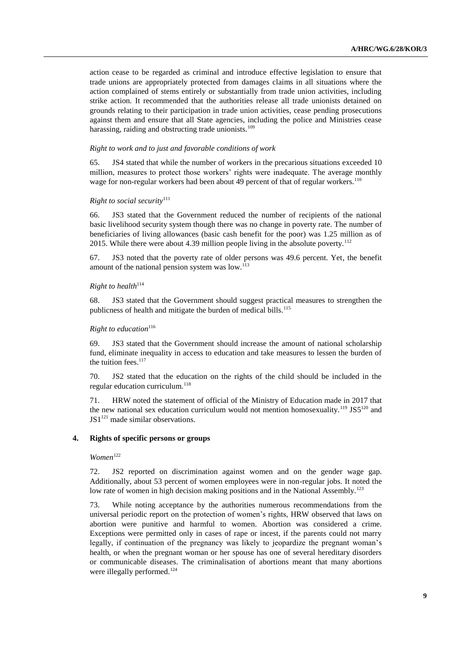action cease to be regarded as criminal and introduce effective legislation to ensure that trade unions are appropriately protected from damages claims in all situations where the action complained of stems entirely or substantially from trade union activities, including strike action. It recommended that the authorities release all trade unionists detained on grounds relating to their participation in trade union activities, cease pending prosecutions against them and ensure that all State agencies, including the police and Ministries cease harassing, raiding and obstructing trade unionists.<sup>109</sup>

#### *Right to work and to just and favorable conditions of work*

65. JS4 stated that while the number of workers in the precarious situations exceeded 10 million, measures to protect those workers' rights were inadequate. The average monthly wage for non-regular workers had been about 49 percent of that of regular workers.<sup>110</sup>

#### *Right to social security*<sup>111</sup>

66. JS3 stated that the Government reduced the number of recipients of the national basic livelihood security system though there was no change in poverty rate. The number of beneficiaries of living allowances (basic cash benefit for the poor) was 1.25 million as of 2015. While there were about 4.39 million people living in the absolute poverty.<sup>112</sup>

67. JS3 noted that the poverty rate of older persons was 49.6 percent. Yet, the benefit amount of the national pension system was  $low.^{113}$ 

### *Right to health*<sup>114</sup>

68. JS3 stated that the Government should suggest practical measures to strengthen the publicness of health and mitigate the burden of medical bills.<sup>115</sup>

## *Right to education*<sup>116</sup>

69. JS3 stated that the Government should increase the amount of national scholarship fund, eliminate inequality in access to education and take measures to lessen the burden of the tuition fees. $117$ 

70. JS2 stated that the education on the rights of the child should be included in the regular education curriculum.<sup>118</sup>

71. HRW noted the statement of official of the Ministry of Education made in 2017 that the new national sex education curriculum would not mention homosexuality.<sup>119</sup> JS5<sup>120</sup> and  $JS1<sup>121</sup>$  made similar observations.

## **4. Rights of specific persons or groups**

 $Women$ <sup>122</sup>

72. JS2 reported on discrimination against women and on the gender wage gap. Additionally, about 53 percent of women employees were in non-regular jobs. It noted the low rate of women in high decision making positions and in the National Assembly.<sup>123</sup>

73. While noting acceptance by the authorities numerous recommendations from the universal periodic report on the protection of women's rights, HRW observed that laws on abortion were punitive and harmful to women. Abortion was considered a crime. Exceptions were permitted only in cases of rape or incest, if the parents could not marry legally, if continuation of the pregnancy was likely to jeopardize the pregnant woman's health, or when the pregnant woman or her spouse has one of several hereditary disorders or communicable diseases. The criminalisation of abortions meant that many abortions were illegally performed.<sup>124</sup>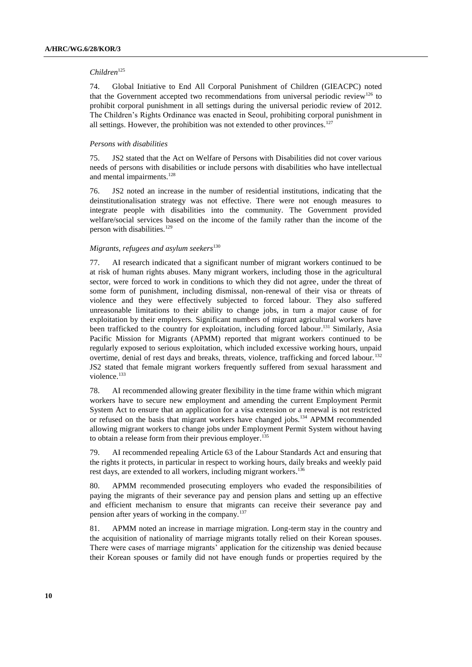### *Children*<sup>125</sup>

74. Global Initiative to End All Corporal Punishment of Children (GIEACPC) noted that the Government accepted two recommendations from universal periodic review<sup>126</sup> to prohibit corporal punishment in all settings during the universal periodic review of 2012. The Children's Rights Ordinance was enacted in Seoul, prohibiting corporal punishment in all settings. However, the prohibition was not extended to other provinces.<sup>127</sup>

#### *Persons with disabilities*

75. JS2 stated that the Act on Welfare of Persons with Disabilities did not cover various needs of persons with disabilities or include persons with disabilities who have intellectual and mental impairments.<sup>128</sup>

76. JS2 noted an increase in the number of residential institutions, indicating that the deinstitutionalisation strategy was not effective. There were not enough measures to integrate people with disabilities into the community. The Government provided welfare/social services based on the income of the family rather than the income of the person with disabilities.<sup>129</sup>

#### *Migrants, refugees and asylum seekers*<sup>130</sup>

77. AI research indicated that a significant number of migrant workers continued to be at risk of human rights abuses. Many migrant workers, including those in the agricultural sector, were forced to work in conditions to which they did not agree, under the threat of some form of punishment, including dismissal, non-renewal of their visa or threats of violence and they were effectively subjected to forced labour. They also suffered unreasonable limitations to their ability to change jobs, in turn a major cause of for exploitation by their employers. Significant numbers of migrant agricultural workers have been trafficked to the country for exploitation, including forced labour.<sup>131</sup> Similarly, Asia Pacific Mission for Migrants (APMM) reported that migrant workers continued to be regularly exposed to serious exploitation, which included excessive working hours, unpaid overtime, denial of rest days and breaks, threats, violence, trafficking and forced labour.<sup>132</sup> JS2 stated that female migrant workers frequently suffered from sexual harassment and violence.<sup>133</sup>

78. AI recommended allowing greater flexibility in the time frame within which migrant workers have to secure new employment and amending the current Employment Permit System Act to ensure that an application for a visa extension or a renewal is not restricted or refused on the basis that migrant workers have changed jobs.<sup>134</sup> APMM recommended allowing migrant workers to change jobs under Employment Permit System without having to obtain a release form from their previous employer.<sup>135</sup>

79. AI recommended repealing Article 63 of the Labour Standards Act and ensuring that the rights it protects, in particular in respect to working hours, daily breaks and weekly paid rest days, are extended to all workers, including migrant workers.<sup>136</sup>

80. APMM recommended prosecuting employers who evaded the responsibilities of paying the migrants of their severance pay and pension plans and setting up an effective and efficient mechanism to ensure that migrants can receive their severance pay and pension after years of working in the company.<sup>137</sup>

81. APMM noted an increase in marriage migration. Long-term stay in the country and the acquisition of nationality of marriage migrants totally relied on their Korean spouses. There were cases of marriage migrants' application for the citizenship was denied because their Korean spouses or family did not have enough funds or properties required by the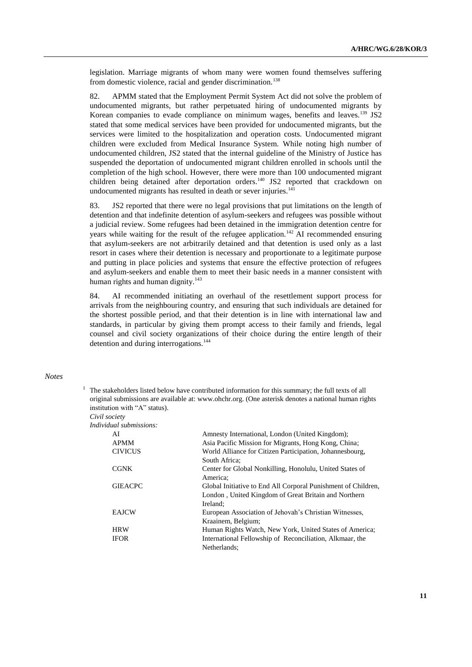legislation. Marriage migrants of whom many were women found themselves suffering from domestic violence, racial and gender discrimination.<sup>138</sup>

82. APMM stated that the Employment Permit System Act did not solve the problem of undocumented migrants, but rather perpetuated hiring of undocumented migrants by Korean companies to evade compliance on minimum wages, benefits and leaves.<sup>139</sup> JS2 stated that some medical services have been provided for undocumented migrants, but the services were limited to the hospitalization and operation costs. Undocumented migrant children were excluded from Medical Insurance System. While noting high number of undocumented children, JS2 stated that the internal guideline of the Ministry of Justice has suspended the deportation of undocumented migrant children enrolled in schools until the completion of the high school. However, there were more than 100 undocumented migrant children being detained after deportation orders.<sup>140</sup> JS2 reported that crackdown on undocumented migrants has resulted in death or sever injuries.<sup>141</sup>

83. JS2 reported that there were no legal provisions that put limitations on the length of detention and that indefinite detention of asylum-seekers and refugees was possible without a judicial review. Some refugees had been detained in the immigration detention centre for years while waiting for the result of the refugee application.<sup>142</sup> AI recommended ensuring that asylum-seekers are not arbitrarily detained and that detention is used only as a last resort in cases where their detention is necessary and proportionate to a legitimate purpose and putting in place policies and systems that ensure the effective protection of refugees and asylum-seekers and enable them to meet their basic needs in a manner consistent with human rights and human dignity.<sup>143</sup>

84. AI recommended initiating an overhaul of the resettlement support process for arrivals from the neighbouring country, and ensuring that such individuals are detained for the shortest possible period, and that their detention is in line with international law and standards, in particular by giving them prompt access to their family and friends, legal counsel and civil society organizations of their choice during the entire length of their detention and during interrogations.<sup>144</sup>

# *Notes*

<sup>1</sup> The stakeholders listed below have contributed information for this summary; the full texts of all original submissions are available at: [www.ohchr.org.](http://www.ohchr.org/) (One asterisk denotes a national human rights institution with "A" status). *Civil society*

*Individual submissions:*

| umu smomessions. |                                                               |
|------------------|---------------------------------------------------------------|
| AI               | Amnesty International, London (United Kingdom);               |
| <b>APMM</b>      | Asia Pacific Mission for Migrants, Hong Kong, China;          |
| <b>CIVICUS</b>   | World Alliance for Citizen Participation, Johannesbourg,      |
|                  | South Africa:                                                 |
| <b>CGNK</b>      | Center for Global Nonkilling, Honolulu, United States of      |
|                  | America:                                                      |
| <b>GIEACPC</b>   | Global Initiative to End All Corporal Punishment of Children, |
|                  | London, United Kingdom of Great Britain and Northern          |
|                  | Ireland:                                                      |
| <b>EAJCW</b>     | European Association of Jehovah's Christian Witnesses,        |
|                  | Kraainem, Belgium;                                            |
| <b>HRW</b>       | Human Rights Watch, New York, United States of America;       |
| <b>IFOR</b>      | International Fellowship of Reconciliation, Alkmaar, the      |
|                  | Netherlands:                                                  |
|                  |                                                               |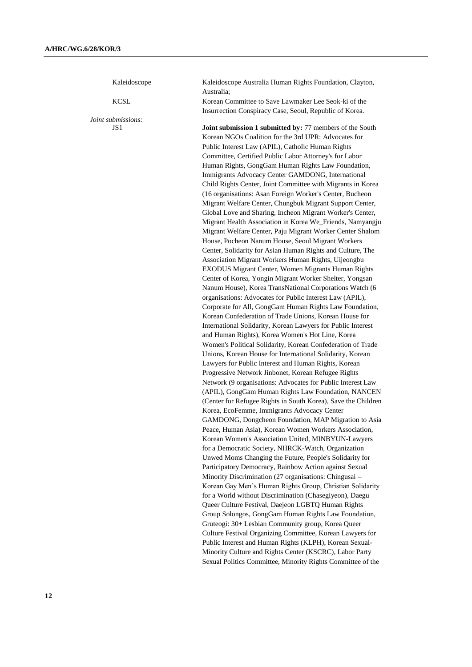Kaleidoscope Kaleidoscope Australia Human Rights Foundation, Clayton, Australia; KCSL Korean Committee to Save Lawmaker Lee Seok-ki of the Insurrection Conspiracy Case, Seoul, Republic of Korea. *Joint submissions:* JS1 **Joint submission 1 submitted by:** 77 members of the South Korean NGOs Coalition for the 3rd UPR: Advocates for Public Interest Law (APIL), Catholic Human Rights Committee, Certified Public Labor Attorney's for Labor Human Rights, GongGam Human Rights Law Foundation, Immigrants Advocacy Center GAMDONG, International Child Rights Center, Joint Committee with Migrants in Korea (16 organisations: Asan Foreign Worker's Center, Bucheon Migrant Welfare Center, Chungbuk Migrant Support Center, Global Love and Sharing, Incheon Migrant Worker's Center, Migrant Health Association in Korea We\_Friends, Namyangju Migrant Welfare Center, Paju Migrant Worker Center Shalom House, Pocheon Nanum House, Seoul Migrant Workers Center, Solidarity for Asian Human Rights and Culture, The Association Migrant Workers Human Rights, Uijeongbu EXODUS Migrant Center, Women Migrants Human Rights Center of Korea, Yongin Migrant Worker Shelter, Yongsan Nanum House), Korea TransNational Corporations Watch (6 organisations: Advocates for Public Interest Law (APIL), Corporate for All, GongGam Human Rights Law Foundation, Korean Confederation of Trade Unions, Korean House for International Solidarity, Korean Lawyers for Public Interest and Human Rights), Korea Women's Hot Line, Korea Women's Political Solidarity, Korean Confederation of Trade Unions, Korean House for International Solidarity, Korean Lawyers for Public Interest and Human Rights, Korean Progressive Network Jinbonet, Korean Refugee Rights Network (9 organisations: Advocates for Public Interest Law (APIL), GongGam Human Rights Law Foundation, NANCEN (Center for Refugee Rights in South Korea), Save the Children Korea, EcoFemme, Immigrants Advocacy Center GAMDONG, Dongcheon Foundation, MAP Migration to Asia Peace, Human Asia), Korean Women Workers Association, Korean Women's Association United, MINBYUN-Lawyers for a Democratic Society, NHRCK-Watch, Organization Unwed Moms Changing the Future, People's Solidarity for Participatory Democracy, Rainbow Action against Sexual Minority Discrimination (27 organisations: Chingusai – Korean Gay Men's Human Rights Group, Christian Solidarity for a World without Discrimination (Chasegiyeon), Daegu Queer Culture Festival, Daejeon LGBTQ Human Rights Group Solongos, GongGam Human Rights Law Foundation, Gruteogi: 30+ Lesbian Community group, Korea Queer Culture Festival Organizing Committee, Korean Lawyers for Public Interest and Human Rights (KLPH), Korean Sexual-Minority Culture and Rights Center (KSCRC), Labor Party Sexual Politics Committee, Minority Rights Committee of the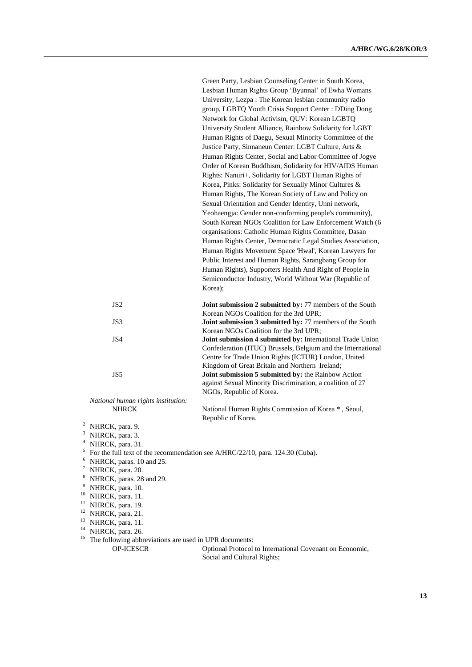|                                    | Lesbian Human Rights Group 'Byunnal' of Ewha Womans                                                |
|------------------------------------|----------------------------------------------------------------------------------------------------|
|                                    | University, Lezpa: The Korean lesbian community radio                                              |
|                                    | group, LGBTQ Youth Crisis Support Center: DDing Dong                                               |
|                                    | Network for Global Activism, QUV: Korean LGBTQ                                                     |
|                                    | University Student Alliance, Rainbow Solidarity for LGBT                                           |
|                                    | Human Rights of Daegu, Sexual Minority Committee of the                                            |
|                                    | Justice Party, Sinnaneun Center: LGBT Culture, Arts &                                              |
|                                    | Human Rights Center, Social and Labor Committee of Jogye                                           |
|                                    | Order of Korean Buddhism, Solidarity for HIV/AIDS Human                                            |
|                                    | Rights: Nanuri+, Solidarity for LGBT Human Rights of                                               |
|                                    | Korea, Pinks: Solidarity for Sexually Minor Cultures &                                             |
|                                    | Human Rights, The Korean Society of Law and Policy on                                              |
|                                    | Sexual Orientation and Gender Identity, Unni network,                                              |
|                                    | Yeohaengja: Gender non-conforming people's community),                                             |
|                                    | South Korean NGOs Coalition for Law Enforcement Watch (6                                           |
|                                    | organisations: Catholic Human Rights Committee, Dasan                                              |
|                                    | Human Rights Center, Democratic Legal Studies Association,                                         |
|                                    | Human Rights Movement Space 'Hwal', Korean Lawyers for                                             |
|                                    | Public Interest and Human Rights, Sarangbang Group for                                             |
|                                    | Human Rights), Supporters Health And Right of People in                                            |
|                                    | Semiconductor Industry, World Without War (Republic of                                             |
|                                    | Korea);                                                                                            |
|                                    |                                                                                                    |
| JS <sub>2</sub>                    | Joint submission 2 submitted by: 77 members of the South<br>Korean NGOs Coalition for the 3rd UPR; |
| JS3                                | Joint submission 3 submitted by: 77 members of the South                                           |
|                                    | Korean NGOs Coalition for the 3rd UPR;                                                             |
| JS4                                | Joint submission 4 submitted by: International Trade Union                                         |
|                                    | Confederation (ITUC) Brussels, Belgium and the International                                       |
|                                    | Centre for Trade Union Rights (ICTUR) London, United                                               |
|                                    | Kingdom of Great Britain and Northern Ireland;                                                     |
| JS5                                | Joint submission 5 submitted by: the Rainbow Action                                                |
|                                    | against Sexual Minority Discrimination, a coalition of 27                                          |
|                                    | NGOs, Republic of Korea.                                                                           |
| National human rights institution: |                                                                                                    |
| <b>NHRCK</b>                       | National Human Rights Commission of Korea *, Seoul,                                                |
| $\mathbf{r}$                       | Republic of Korea.                                                                                 |

Green Party, Lesbian Counseling Center in South Korea,

- <sup>2</sup> NHRCK, para. 9.
- $3$  NHRCK, para. 3.
- <sup>4</sup> NHRCK, para. 31.
- $5$  For the full text of the recommendation see A/HRC/22/10, para. 124.30 (Cuba).
- <sup>6</sup> NHRCK, paras. 10 and 25.
- <sup>7</sup> NHRCK, para. 20.
- <sup>8</sup> NHRCK, paras. 28 and 29.
- $9$  NHRCK, para. 10.
- <sup>10</sup> NHRCK, para. 11.
- <sup>11</sup> NHRCK, para. 19.
- <sup>12</sup> NHRCK, para. 21.
- 
- <sup>13</sup> NHRCK, para. 11.
- <sup>14</sup> NHRCK, para. 26.
- <sup>15</sup> The following abbreviations are used in UPR documents:<br>OP-ICESCR Optional Protocol

Optional Protocol to International Covenant on Economic, Social and Cultural Rights;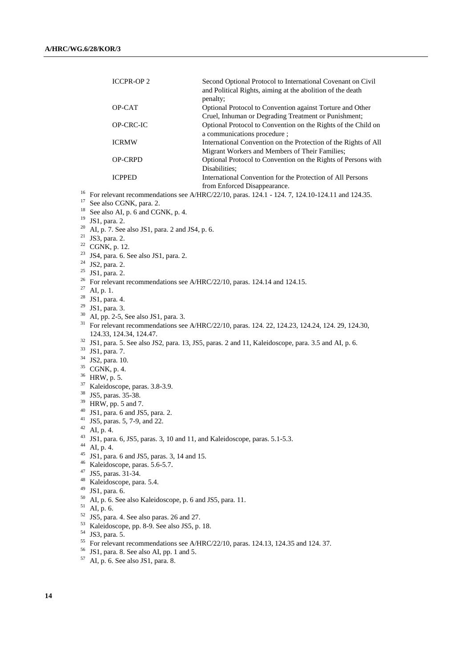|          | <b>ICCPR-OP2</b>                                                                                             | Second Optional Protocol to International Covenant on Civil<br>and Political Rights, aiming at the abolition of the death |  |
|----------|--------------------------------------------------------------------------------------------------------------|---------------------------------------------------------------------------------------------------------------------------|--|
|          |                                                                                                              | penalty;                                                                                                                  |  |
|          | OP-CAT                                                                                                       | Optional Protocol to Convention against Torture and Other                                                                 |  |
|          |                                                                                                              | Cruel, Inhuman or Degrading Treatment or Punishment;                                                                      |  |
|          | OP-CRC-IC                                                                                                    | Optional Protocol to Convention on the Rights of the Child on                                                             |  |
|          |                                                                                                              | a communications procedure;                                                                                               |  |
|          | <b>ICRMW</b>                                                                                                 | International Convention on the Protection of the Rights of All                                                           |  |
|          | OP-CRPD                                                                                                      | Migrant Workers and Members of Their Families;<br>Optional Protocol to Convention on the Rights of Persons with           |  |
|          |                                                                                                              | Disabilities:                                                                                                             |  |
|          | <b>ICPPED</b>                                                                                                | International Convention for the Protection of All Persons                                                                |  |
|          |                                                                                                              | from Enforced Disappearance.                                                                                              |  |
| 16       |                                                                                                              | For relevant recommendations see A/HRC/22/10, paras. 124.1 - 124.7, 124.10-124.11 and 124.35.                             |  |
| 17       | See also CGNK, para. 2.                                                                                      |                                                                                                                           |  |
| 18       | See also AI, p. 6 and CGNK, p. 4.                                                                            |                                                                                                                           |  |
| 19       | JS1, para. 2.                                                                                                |                                                                                                                           |  |
| 20       | AI, p. 7. See also JS1, para. 2 and JS4, p. 6.                                                               |                                                                                                                           |  |
| 21       | JS3, para. 2.                                                                                                |                                                                                                                           |  |
| 22       | CGNK, p. 12.                                                                                                 |                                                                                                                           |  |
| 23<br>24 | JS4, para. 6. See also JS1, para. 2.                                                                         |                                                                                                                           |  |
| 25       | JS2, para. 2.                                                                                                |                                                                                                                           |  |
|          | JS1, para. 2.                                                                                                |                                                                                                                           |  |
| 27       | <sup>26</sup> For relevant recommendations see A/HRC/22/10, paras. 124.14 and 124.15.<br>AI, p. 1.           |                                                                                                                           |  |
|          | <sup>28</sup> JS1, para. 4.                                                                                  |                                                                                                                           |  |
|          | $29$ JS1, para. 3.                                                                                           |                                                                                                                           |  |
| 30       | AI, pp. 2-5, See also JS1, para. 3.                                                                          |                                                                                                                           |  |
|          | <sup>31</sup> For relevant recommendations see A/HRC/22/10, paras. 124. 22, 124.23, 124.24, 124. 29, 124.30, |                                                                                                                           |  |
|          | 124.33, 124.34, 124.47.                                                                                      |                                                                                                                           |  |
|          |                                                                                                              | <sup>32</sup> JS1, para. 5. See also JS2, para. 13, JS5, paras. 2 and 11, Kaleidoscope, para. 3.5 and AI, p. 6.           |  |
| 33       | JS1, para. 7.                                                                                                |                                                                                                                           |  |
| 34<br>35 | JS2, para. 10.                                                                                               |                                                                                                                           |  |
| 36       | CGNK, p. 4.                                                                                                  |                                                                                                                           |  |
| 37       | HRW, p. 5.                                                                                                   |                                                                                                                           |  |
| 38       | Kaleidoscope, paras. 3.8-3.9.<br>JS5, paras. 35-38.                                                          |                                                                                                                           |  |
| 39       | HRW, pp. 5 and 7.                                                                                            |                                                                                                                           |  |
| 40       | JS1, para. 6 and JS5, para. 2.                                                                               |                                                                                                                           |  |
| 41       | JS5, paras. 5, 7-9, and 22.                                                                                  |                                                                                                                           |  |
| 42       | AI, p. 4.                                                                                                    |                                                                                                                           |  |
| 43<br>44 | JS1, para. 6, JS5, paras. 3, 10 and 11, and Kaleidoscope, paras. 5.1-5.3.                                    |                                                                                                                           |  |
| 45       | AI, p. 4.                                                                                                    |                                                                                                                           |  |
| 46       | JS1, para. 6 and JS5, paras. 3, 14 and 15.                                                                   |                                                                                                                           |  |
| 47       | Kaleidoscope, paras. 5.6-5.7.<br>JS5, paras. 31-34.                                                          |                                                                                                                           |  |
| 48       | Kaleidoscope, para. 5.4.                                                                                     |                                                                                                                           |  |
| 49       | JS1, para. 6.                                                                                                |                                                                                                                           |  |
| 50       | AI, p. 6. See also Kaleidoscope, p. 6 and JS5, para. 11.                                                     |                                                                                                                           |  |
| 51       | AI, p. 6.                                                                                                    |                                                                                                                           |  |
| 52       | JS5, para. 4. See also paras. 26 and 27.                                                                     |                                                                                                                           |  |
| 53       | Kaleidoscope, pp. 8-9. See also JS5, p. 18.                                                                  |                                                                                                                           |  |
| 54       | JS3, para. 5.                                                                                                |                                                                                                                           |  |
| 55       | For relevant recommendations see A/HRC/22/10, paras. 124.13, 124.35 and 124.37.                              |                                                                                                                           |  |
| 56<br>57 | JS1, para. 8. See also AI, pp. 1 and 5.                                                                      |                                                                                                                           |  |
|          | AI, p. 6. See also JS1, para. 8.                                                                             |                                                                                                                           |  |
|          |                                                                                                              |                                                                                                                           |  |
|          |                                                                                                              |                                                                                                                           |  |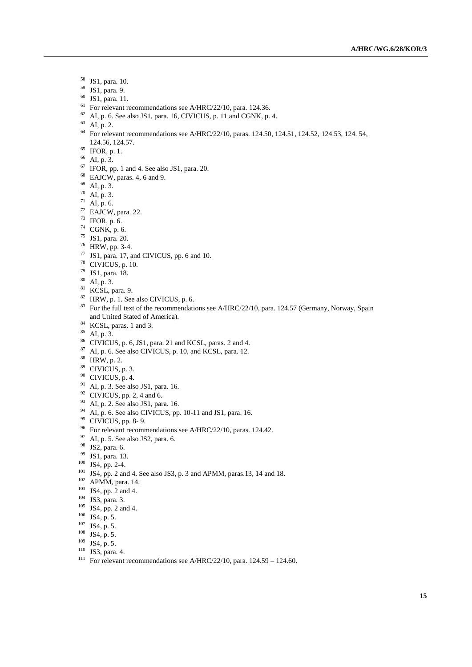- JS1, para. 10.
- JS1, para. 9.
- JS1, para. 11.
- <sup>61</sup> For relevant recommendations see A/HRC/22/10, para. 124.36.
- AI, p. 6. See also JS1, para. 16, CIVICUS, p. 11 and CGNK, p. 4.
- $^{63}$  AI, p. 2.
- For relevant recommendations see A/HRC/22/10, paras. 124.50, 124.51, 124.52, 124.53, 124. 54, 124.56, 124.57.
- IFOR, p. 1.
- AI, p. 3.
- IFOR, pp. 1 and 4. See also JS1, para. 20.
- EAJCW, paras. 4, 6 and 9.
- AI, p. 3.
- AI, p. 3.
- AI, p. 6.
- EAJCW, para. 22.
- IFOR, p. 6.
- CGNK, p. 6.
- JS1, para. 20.
- HRW, pp. 3-4.
- JS1, para. 17, and CIVICUS, pp. 6 and 10.
- CIVICUS, p. 10.
- JS1, para. 18.
- AI, p. 3.
- KCSL, para. 9.
- <sup>82</sup> HRW, p. 1. See also CIVICUS, p. 6.
- <sup>83</sup> For the full text of the recommendations see A/HRC/22/10, para. 124.57 (Germany, Norway, Spain and United Stated of America).
- <sup>84</sup> KCSL, paras. 1 and 3.
- AI, p. 3.
- CIVICUS, p. 6, JS1, para. 21 and KCSL, paras. 2 and 4.
- AI, p. 6. See also CIVICUS, p. 10, and KCSL, para. 12.
- HRW, p. 2.
- CIVICUS, p. 3.
- CIVICUS, p. 4.
- <sup>91</sup> AI, p. 3. See also JS1, para. 16.
- CIVICUS, pp. 2, 4 and 6.
- AI, p. 2. See also JS1, para. 16.
- AI, p. 6. See also CIVICUS, pp. 10-11 and JS1, para. 16.
- <sup>95</sup> CIVICUS, pp. 8-9.
- <sup>96</sup> For relevant recommendations see A/HRC/22/10, paras. 124.42.
- AI, p. 5. See also JS2, para. 6.
- JS2, para. 6.
- JS1, para. 13.
- JS4, pp. 2-4.
- JS4, pp. 2 and 4. See also JS3, p. 3 and APMM, paras.13, 14 and 18.
- APMM, para. 14.
- JS4, pp. 2 and 4.
- <sup>104</sup> JS3, para. 3.
- <sup>105</sup> JS4, pp. 2 and 4.
- JS4, p. 5.
- JS4, p. 5.
- JS4, p. 5.
- JS4, p. 5.
- JS3, para. 4.
- <sup>111</sup> For relevant recommendations see A/HRC/22/10, para.  $124.59 124.60$ .